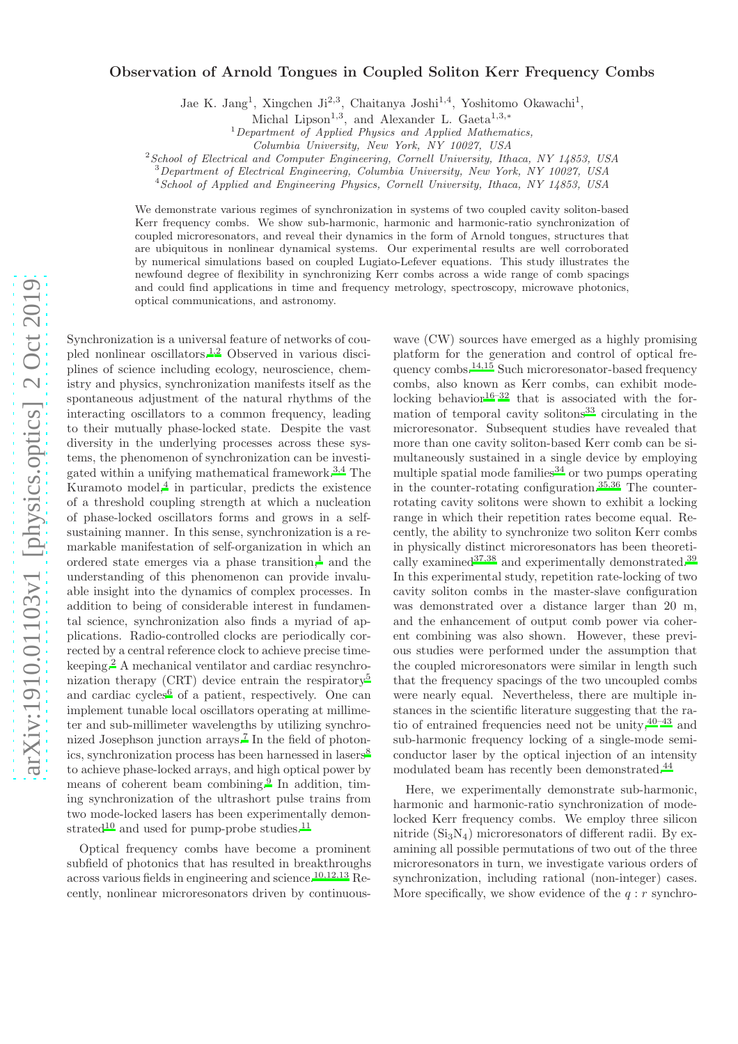## $arXiv:1910.01103v1$  [physics.optics]  $2$  Oct 2019 [arXiv:1910.01103v1 \[physics.optics\] 2 Oct 2019](http://arxiv.org/abs/1910.01103v1)

## Observation of Arnold Tongues in Coupled Soliton Kerr Frequency Combs

Jae K. Jang<sup>1</sup>, Xingchen Ji<sup>2,3</sup>, Chaitanya Joshi<sup>1,4</sup>, Yoshitomo Okawachi<sup>1</sup>,

<sup>1</sup>*Department of Applied Physics and Applied Mathematics,*

<sup>2</sup>*School of Electrical and Computer Engineering, Cornell University, Ithaca, NY 14853, USA*

<sup>3</sup>*Department of Electrical Engineering, Columbia University, New York, NY 10027, USA*

<sup>4</sup>*School of Applied and Engineering Physics, Cornell University, Ithaca, NY 14853, USA*

We demonstrate various regimes of synchronization in systems of two coupled cavity soliton-based Kerr frequency combs. We show sub-harmonic, harmonic and harmonic-ratio synchronization of coupled microresonators, and reveal their dynamics in the form of Arnold tongues, structures that are ubiquitous in nonlinear dynamical systems. Our experimental results are well corroborated by numerical simulations based on coupled Lugiato-Lefever equations. This study illustrates the newfound degree of flexibility in synchronizing Kerr combs across a wide range of comb spacings and could find applications in time and frequency metrology, spectroscopy, microwave photonics, optical communications, and astronomy.

Synchronization is a universal feature of networks of coupled nonlinear oscillators.[1](#page-4-0)[,2](#page-4-1) Observed in various disciplines of science including ecology, neuroscience, chemistry and physics, synchronization manifests itself as the spontaneous adjustment of the natural rhythms of the interacting oscillators to a common frequency, leading to their mutually phase-locked state. Despite the vast diversity in the underlying processes across these systems, the phenomenon of synchronization can be investigated within a unifying mathematical framework.[3,](#page-4-2)[4](#page-4-3) The Kuramoto model,<sup>[4](#page-4-3)</sup> in particular, predicts the existence of a threshold coupling strength at which a nucleation of phase-locked oscillators forms and grows in a selfsustaining manner. In this sense, synchronization is a remarkable manifestation of self-organization in which an ordered state emerges via a phase transition, $<sup>1</sup>$  $<sup>1</sup>$  $<sup>1</sup>$  and the</sup> understanding of this phenomenon can provide invaluable insight into the dynamics of complex processes. In addition to being of considerable interest in fundamental science, synchronization also finds a myriad of applications. Radio-controlled clocks are periodically corrected by a central reference clock to achieve precise timekeeping.[2](#page-4-1) A mechanical ventilator and cardiac resynchronization therapy (CRT) device entrain the respiratory[5](#page-4-4) and cardiac cycles<sup>[6](#page-4-5)</sup> of a patient, respectively. One can implement tunable local oscillators operating at millimeter and sub-millimeter wavelengths by utilizing synchro-nized Josephson junction arrays.<sup>[7](#page-4-6)</sup> In the field of photon-ics, synchronization process has been harnessed in lasers<sup>[8](#page-4-7)</sup> to achieve phase-locked arrays, and high optical power by means of coherent beam combining.<sup>[9](#page-4-8)</sup> In addition, timing synchronization of the ultrashort pulse trains from two mode-locked lasers has been experimentally demon-strated<sup>[10](#page-4-9)</sup> and used for pump-probe studies.<sup>[11](#page-4-10)</sup>

Optical frequency combs have become a prominent subfield of photonics that has resulted in breakthroughs across various fields in engineering and science.[10](#page-4-9)[,12](#page-4-11)[,13](#page-4-12) Recently, nonlinear microresonators driven by continuouswave (CW) sources have emerged as a highly promising platform for the generation and control of optical fre-quency combs.<sup>[14](#page-4-13)[,15](#page-4-14)</sup> Such microresonator-based frequency combs, also known as Kerr combs, can exhibit mode-locking behavior<sup>[16](#page-4-15)[–32](#page-5-0)</sup> that is associated with the formation of temporal cavity solitons $33$  circulating in the microresonator. Subsequent studies have revealed that more than one cavity soliton-based Kerr comb can be simultaneously sustained in a single device by employing multiple spatial mode families<sup>[34](#page-5-2)</sup> or two pumps operating in the counter-rotating configuration.[35](#page-5-3)[,36](#page-5-4) The counterrotating cavity solitons were shown to exhibit a locking range in which their repetition rates become equal. Recently, the ability to synchronize two soliton Kerr combs in physically distinct microresonators has been theoretically examined  $37,38$  $37,38$  and experimentally demonstrated.<sup>[39](#page-5-7)</sup> In this experimental study, repetition rate-locking of two cavity soliton combs in the master-slave configuration was demonstrated over a distance larger than 20 m, and the enhancement of output comb power via coherent combining was also shown. However, these previous studies were performed under the assumption that the coupled microresonators were similar in length such that the frequency spacings of the two uncoupled combs were nearly equal. Nevertheless, there are multiple instances in the scientific literature suggesting that the ratio of entrained frequencies need not be unity,  $40-43$  $40-43$  and sub-harmonic frequency locking of a single-mode semiconductor laser by the optical injection of an intensity modulated beam has recently been demonstrated.<sup>[44](#page-5-10)</sup>

Here, we experimentally demonstrate sub-harmonic, harmonic and harmonic-ratio synchronization of modelocked Kerr frequency combs. We employ three silicon nitride  $(Si_3N_4)$  microresonators of different radii. By examining all possible permutations of two out of the three microresonators in turn, we investigate various orders of synchronization, including rational (non-integer) cases. More specifically, we show evidence of the  $q : r$  synchro-

Michal Lipson<sup>1,3</sup>, and Alexander L. Gaeta<sup>1,3,\*</sup>

*Columbia University, New York, NY 10027, USA*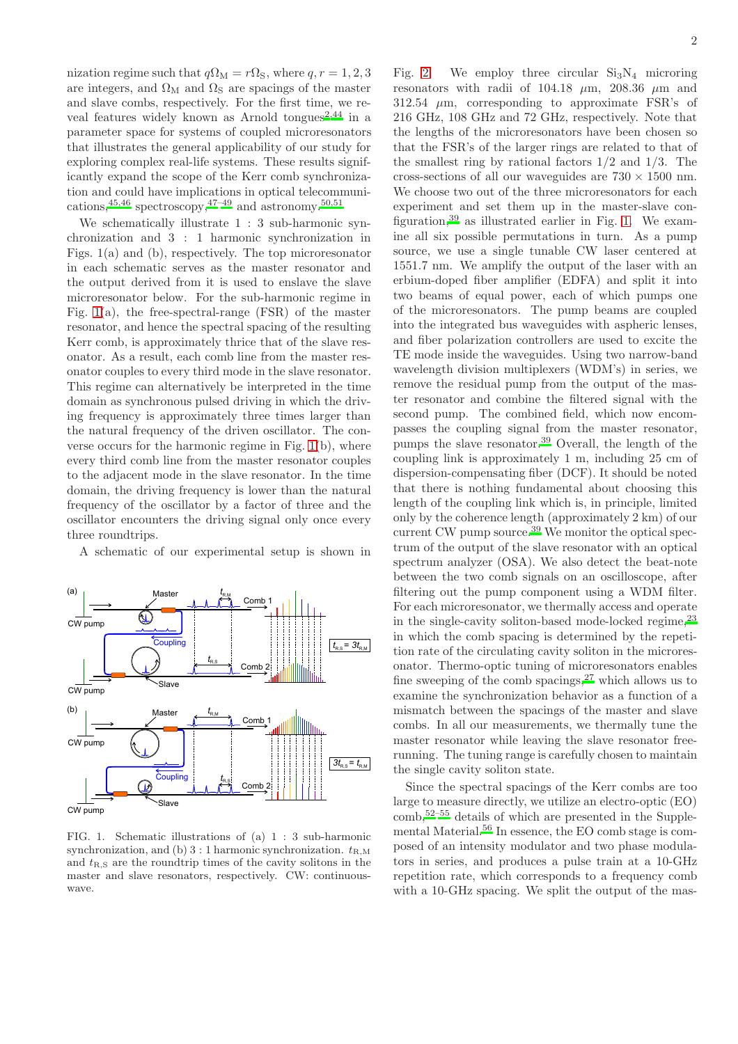nization regime such that  $q\Omega_M = r\Omega_S$ , where  $q, r = 1, 2, 3$ are integers, and  $\Omega_M$  and  $\Omega_S$  are spacings of the master and slave combs, respectively. For the first time, we re-veal features widely known as Arnold tongues<sup>[2](#page-4-1)[,44](#page-5-10)</sup> in a parameter space for systems of coupled microresonators that illustrates the general applicability of our study for exploring complex real-life systems. These results significantly expand the scope of the Kerr comb synchronization and could have implications in optical telecommunications,  $45,46$  $45,46$  spectroscopy,  $47-49$  $47-49$  and astronomy.  $50,51$  $50,51$ 

We schematically illustrate 1 : 3 sub-harmonic synchronization and 3 : 1 harmonic synchronization in Figs. 1(a) and (b), respectively. The top microresonator in each schematic serves as the master resonator and the output derived from it is used to enslave the slave microresonator below. For the sub-harmonic regime in Fig. [1\(](#page-1-0)a), the free-spectral-range (FSR) of the master resonator, and hence the spectral spacing of the resulting Kerr comb, is approximately thrice that of the slave resonator. As a result, each comb line from the master resonator couples to every third mode in the slave resonator. This regime can alternatively be interpreted in the time domain as synchronous pulsed driving in which the driving frequency is approximately three times larger than the natural frequency of the driven oscillator. The converse occurs for the harmonic regime in Fig. [1\(](#page-1-0)b), where every third comb line from the master resonator couples to the adjacent mode in the slave resonator. In the time domain, the driving frequency is lower than the natural frequency of the oscillator by a factor of three and the oscillator encounters the driving signal only once every three roundtrips.

A schematic of our experimental setup is shown in



<span id="page-1-0"></span>FIG. 1. Schematic illustrations of (a) 1 : 3 sub-harmonic synchronization, and (b) 3 : 1 harmonic synchronization.  $t_{\text{RM}}$ and  $t_{R,S}$  are the roundtrip times of the cavity solitons in the master and slave resonators, respectively. CW: continuouswave.

Fig. [2.](#page-2-0) We employ three circular  $Si<sub>3</sub>N<sub>4</sub>$  microring resonators with radii of 104.18  $\mu$ m, 208.36  $\mu$ m and  $312.54 \mu m$ , corresponding to approximate FSR's of 216 GHz, 108 GHz and 72 GHz, respectively. Note that the lengths of the microresonators have been chosen so that the FSR's of the larger rings are related to that of the smallest ring by rational factors  $1/2$  and  $1/3$ . The cross-sections of all our waveguides are  $730 \times 1500$  nm. We choose two out of the three microresonators for each experiment and set them up in the master-slave configuration,  $39$  as illustrated earlier in Fig. [1.](#page-1-0) We examine all six possible permutations in turn. As a pump source, we use a single tunable CW laser centered at 1551.7 nm. We amplify the output of the laser with an erbium-doped fiber amplifier (EDFA) and split it into two beams of equal power, each of which pumps one of the microresonators. The pump beams are coupled into the integrated bus waveguides with aspheric lenses, and fiber polarization controllers are used to excite the TE mode inside the waveguides. Using two narrow-band wavelength division multiplexers (WDM's) in series, we remove the residual pump from the output of the master resonator and combine the filtered signal with the second pump. The combined field, which now encompasses the coupling signal from the master resonator, pumps the slave resonator.[39](#page-5-7) Overall, the length of the coupling link is approximately 1 m, including 25 cm of dispersion-compensating fiber (DCF). It should be noted that there is nothing fundamental about choosing this length of the coupling link which is, in principle, limited only by the coherence length (approximately 2 km) of our current CW pump source.<sup>[39](#page-5-7)</sup> We monitor the optical spectrum of the output of the slave resonator with an optical spectrum analyzer (OSA). We also detect the beat-note between the two comb signals on an oscilloscope, after filtering out the pump component using a WDM filter. For each microresonator, we thermally access and operate in the single-cavity soliton-based mode-locked regime,  $23$ in which the comb spacing is determined by the repetition rate of the circulating cavity soliton in the microresonator. Thermo-optic tuning of microresonators enables fine sweeping of the comb spacings,  $27$  which allows us to examine the synchronization behavior as a function of a mismatch between the spacings of the master and slave combs. In all our measurements, we thermally tune the master resonator while leaving the slave resonator freerunning. The tuning range is carefully chosen to maintain the single cavity soliton state.

Since the spectral spacings of the Kerr combs are too large to measure directly, we utilize an electro-optic (EO) comb,[52](#page-5-19)[–55](#page-5-20) details of which are presented in the Supplemental Material.[56](#page-5-21) In essence, the EO comb stage is composed of an intensity modulator and two phase modulators in series, and produces a pulse train at a 10-GHz repetition rate, which corresponds to a frequency comb with a 10-GHz spacing. We split the output of the mas-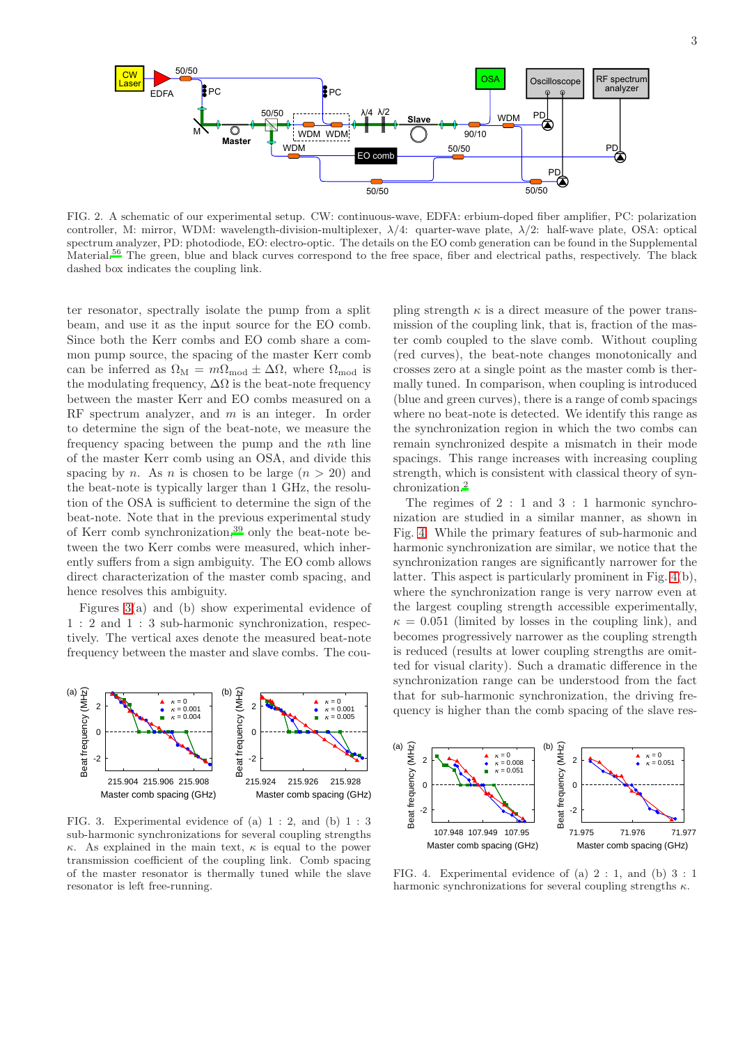

<span id="page-2-0"></span>FIG. 2. A schematic of our experimental setup. CW: continuous-wave, EDFA: erbium-doped fiber amplifier, PC: polarization controller, M: mirror, WDM: wavelength-division-multiplexer,  $\lambda/4$ : quarter-wave plate,  $\lambda/2$ : half-wave plate, OSA: optical spectrum analyzer, PD: photodiode, EO: electro-optic. The details on the EO comb generation can be found in the Supplemental Material[.](#page-5-21)<sup>56</sup> The green, blue and black curves correspond to the free space, fiber and electrical paths, respectively. The black dashed box indicates the coupling link.

ter resonator, spectrally isolate the pump from a split beam, and use it as the input source for the EO comb. Since both the Kerr combs and EO comb share a common pump source, the spacing of the master Kerr comb can be inferred as  $\Omega_{\text{M}} = m\Omega_{\text{mod}} \pm \Delta\Omega$ , where  $\Omega_{\text{mod}}$  is the modulating frequency,  $\Delta\Omega$  is the beat-note frequency between the master Kerr and EO combs measured on a RF spectrum analyzer, and m is an integer. In order to determine the sign of the beat-note, we measure the frequency spacing between the pump and the nth line of the master Kerr comb using an OSA, and divide this spacing by n. As n is chosen to be large  $(n > 20)$  and the beat-note is typically larger than 1 GHz, the resolution of the OSA is sufficient to determine the sign of the beat-note. Note that in the previous experimental study of Kerr comb synchronization,[39](#page-5-7) only the beat-note between the two Kerr combs were measured, which inherently suffers from a sign ambiguity. The EO comb allows direct characterization of the master comb spacing, and hence resolves this ambiguity.

Figures [3\(](#page-2-1)a) and (b) show experimental evidence of 1 : 2 and 1 : 3 sub-harmonic synchronization, respectively. The vertical axes denote the measured beat-note frequency between the master and slave combs. The cou-



<span id="page-2-1"></span>FIG. 3. Experimental evidence of (a)  $1:2$ , and (b)  $1:3$ sub-harmonic synchronizations for several coupling strengths κ. As explained in the main text,  $\kappa$  is equal to the power transmission coefficient of the coupling link. Comb spacing of the master resonator is thermally tuned while the slave resonator is left free-running.

pling strength  $\kappa$  is a direct measure of the power transmission of the coupling link, that is, fraction of the master comb coupled to the slave comb. Without coupling (red curves), the beat-note changes monotonically and crosses zero at a single point as the master comb is thermally tuned. In comparison, when coupling is introduced (blue and green curves), there is a range of comb spacings where no beat-note is detected. We identify this range as the synchronization region in which the two combs can remain synchronized despite a mismatch in their mode spacings. This range increases with increasing coupling strength, which is consistent with classical theory of synchronization.[2](#page-4-1)

The regimes of 2 : 1 and 3 : 1 harmonic synchronization are studied in a similar manner, as shown in Fig. [4.](#page-2-2) While the primary features of sub-harmonic and harmonic synchronization are similar, we notice that the synchronization ranges are significantly narrower for the latter. This aspect is particularly prominent in Fig. [4\(](#page-2-2)b), where the synchronization range is very narrow even at the largest coupling strength accessible experimentally,  $\kappa = 0.051$  (limited by losses in the coupling link), and becomes progressively narrower as the coupling strength is reduced (results at lower coupling strengths are omitted for visual clarity). Such a dramatic difference in the synchronization range can be understood from the fact that for sub-harmonic synchronization, the driving frequency is higher than the comb spacing of the slave res-



<span id="page-2-2"></span>FIG. 4. Experimental evidence of (a)  $2:1$ , and (b)  $3:1$ harmonic synchronizations for several coupling strengths  $\kappa$ .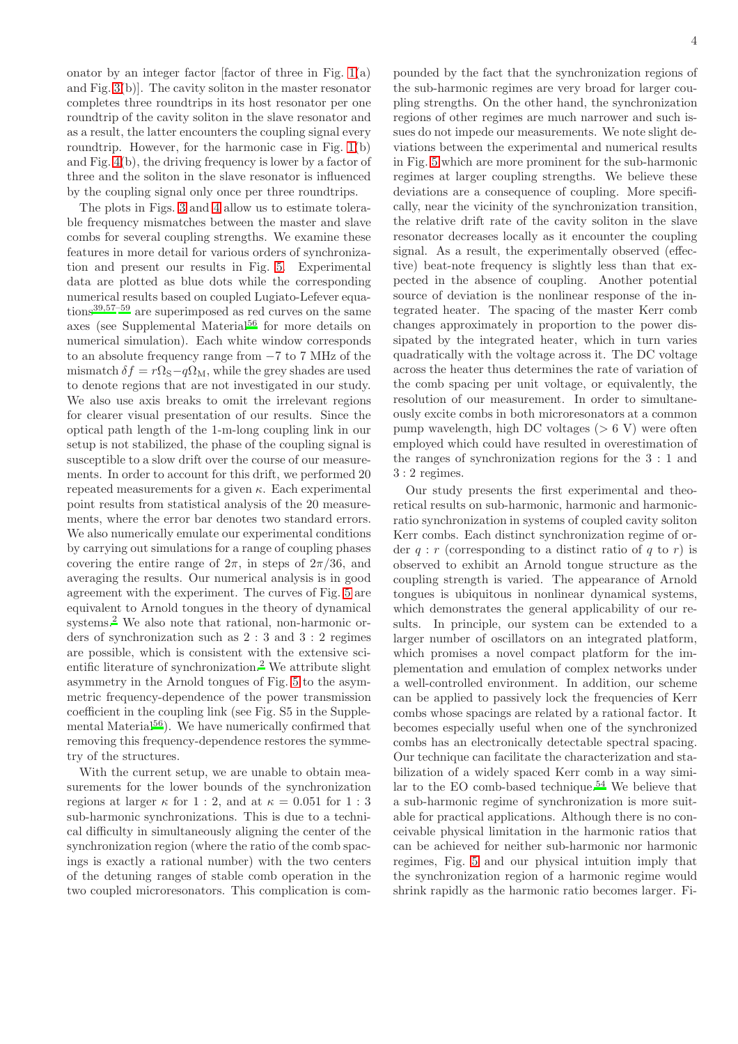onator by an integer factor [factor of three in Fig.  $1(a)$ ] and Fig. [3\(](#page-2-1)b)]. The cavity soliton in the master resonator completes three roundtrips in its host resonator per one roundtrip of the cavity soliton in the slave resonator and as a result, the latter encounters the coupling signal every roundtrip. However, for the harmonic case in Fig. [1\(](#page-1-0)b) and Fig. [4\(](#page-2-2)b), the driving frequency is lower by a factor of three and the soliton in the slave resonator is influenced by the coupling signal only once per three roundtrips.

The plots in Figs. [3](#page-2-1) and [4](#page-2-2) allow us to estimate tolerable frequency mismatches between the master and slave combs for several coupling strengths. We examine these features in more detail for various orders of synchronization and present our results in Fig. [5.](#page-4-16) Experimental data are plotted as blue dots while the corresponding numerical results based on coupled Lugiato-Lefever equations[39](#page-5-7)[,57](#page-5-22)[–59](#page-6-0) are superimposed as red curves on the same axes (see Supplemental Material<sup>[56](#page-5-21)</sup> for more details on numerical simulation). Each white window corresponds to an absolute frequency range from −7 to 7 MHz of the mismatch  $\delta f = r\Omega_{\rm S} - q\Omega_{\rm M}$ , while the grey shades are used to denote regions that are not investigated in our study. We also use axis breaks to omit the irrelevant regions for clearer visual presentation of our results. Since the optical path length of the 1-m-long coupling link in our setup is not stabilized, the phase of the coupling signal is susceptible to a slow drift over the course of our measurements. In order to account for this drift, we performed 20 repeated measurements for a given  $\kappa$ . Each experimental point results from statistical analysis of the 20 measurements, where the error bar denotes two standard errors. We also numerically emulate our experimental conditions by carrying out simulations for a range of coupling phases covering the entire range of  $2\pi$ , in steps of  $2\pi/36$ , and averaging the results. Our numerical analysis is in good agreement with the experiment. The curves of Fig. [5](#page-4-16) are equivalent to Arnold tongues in the theory of dynamical systems[.](#page-4-1)<sup>2</sup> We also note that rational, non-harmonic orders of synchronization such as 2 : 3 and 3 : 2 regimes are possible, which is consistent with the extensive scientific literature of synchronization[.](#page-4-1)<sup>2</sup> We attribute slight asymmetry in the Arnold tongues of Fig. [5](#page-4-16) to the asymmetric frequency-dependence of the power transmission coefficient in the coupling link (see Fig. S5 in the Supplementa[l](#page-5-21) Material<sup>56</sup>). We have numerically confirmed that removing this frequency-dependence restores the symmetry of the structures.

With the current setup, we are unable to obtain measurements for the lower bounds of the synchronization regions at larger  $\kappa$  for 1 : 2, and at  $\kappa = 0.051$  for 1 : 3 sub-harmonic synchronizations. This is due to a technical difficulty in simultaneously aligning the center of the synchronization region (where the ratio of the comb spacings is exactly a rational number) with the two centers of the detuning ranges of stable comb operation in the two coupled microresonators. This complication is compounded by the fact that the synchronization regions of the sub-harmonic regimes are very broad for larger coupling strengths. On the other hand, the synchronization regions of other regimes are much narrower and such issues do not impede our measurements. We note slight deviations between the experimental and numerical results in Fig. [5](#page-4-16) which are more prominent for the sub-harmonic regimes at larger coupling strengths. We believe these deviations are a consequence of coupling. More specifically, near the vicinity of the synchronization transition, the relative drift rate of the cavity soliton in the slave resonator decreases locally as it encounter the coupling signal. As a result, the experimentally observed (effective) beat-note frequency is slightly less than that expected in the absence of coupling. Another potential source of deviation is the nonlinear response of the integrated heater. The spacing of the master Kerr comb changes approximately in proportion to the power dissipated by the integrated heater, which in turn varies quadratically with the voltage across it. The DC voltage across the heater thus determines the rate of variation of the comb spacing per unit voltage, or equivalently, the resolution of our measurement. In order to simultaneously excite combs in both microresonators at a common pump wavelength, high DC voltages ( $> 6$  V) were often employed which could have resulted in overestimation of the ranges of synchronization regions for the 3 : 1 and 3 : 2 regimes.

Our study presents the first experimental and theoretical results on sub-harmonic, harmonic and harmonicratio synchronization in systems of coupled cavity soliton Kerr combs. Each distinct synchronization regime of order  $q : r$  (corresponding to a distinct ratio of q to r) is observed to exhibit an Arnold tongue structure as the coupling strength is varied. The appearance of Arnold tongues is ubiquitous in nonlinear dynamical systems, which demonstrates the general applicability of our results. In principle, our system can be extended to a larger number of oscillators on an integrated platform, which promises a novel compact platform for the implementation and emulation of complex networks under a well-controlled environment. In addition, our scheme can be applied to passively lock the frequencies of Kerr combs whose spacings are related by a rational factor. It becomes especially useful when one of the synchronized combs has an electronically detectable spectral spacing. Our technique can facilitate the characterization and stabilization of a widely spaced Kerr comb in a way simi-lar to the EO comb-based technique.<sup>[54](#page-5-23)</sup> We believe that a sub-harmonic regime of synchronization is more suitable for practical applications. Although there is no conceivable physical limitation in the harmonic ratios that can be achieved for neither sub-harmonic nor harmonic regimes, Fig. [5](#page-4-16) and our physical intuition imply that the synchronization region of a harmonic regime would shrink rapidly as the harmonic ratio becomes larger. Fi-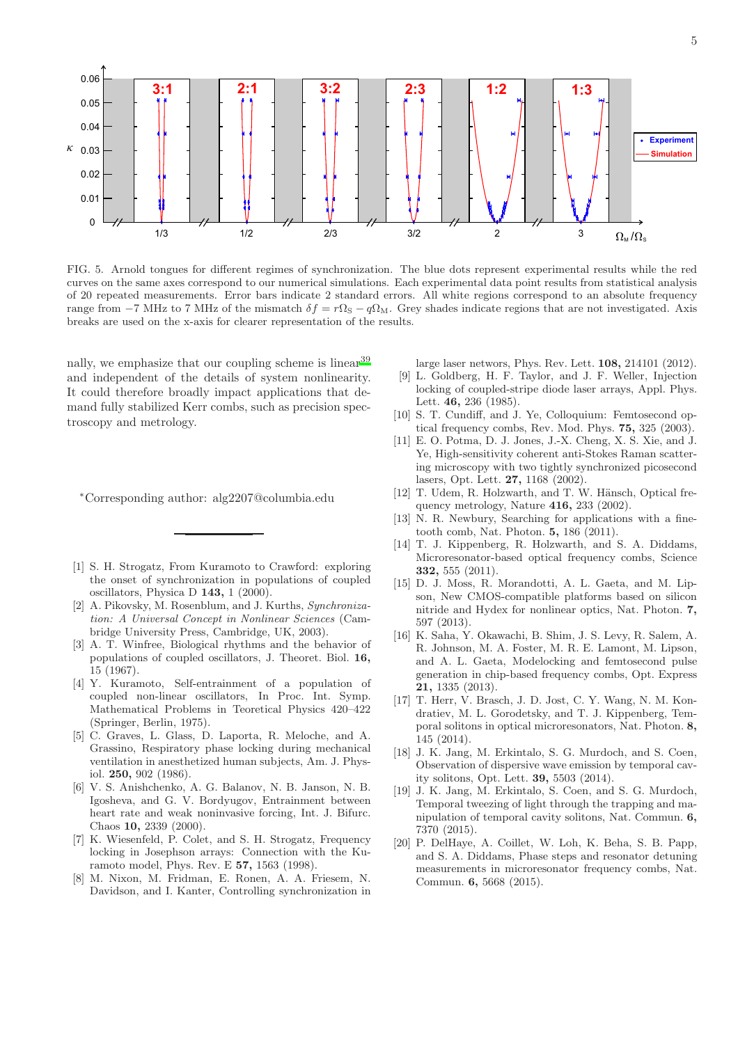

<span id="page-4-16"></span>FIG. 5. Arnold tongues for different regimes of synchronization. The blue dots represent experimental results while the red curves on the same axes correspond to our numerical simulations. Each experimental data point results from statistical analysis of 20 repeated measurements. Error bars indicate 2 standard errors. All white regions correspond to an absolute frequency range from −7 MHz to 7 MHz of the mismatch  $\delta f = r\Omega_s - q\Omega_M$ . Grey shades indicate regions that are not investigated. Axis breaks are used on the x-axis for clearer representation of the results.

nally, we emphasize that our coupling scheme is linear<sup>[39](#page-5-7)</sup> and independent of the details of system nonlinearity. It could therefore broadly impact applications that demand fully stabilized Kerr combs, such as precision spectroscopy and metrology.

- <sup>∗</sup>Corresponding author: alg2207@columbia.edu
- <span id="page-4-0"></span>[1] S. H. Strogatz, From Kuramoto to Crawford: exploring the onset of synchronization in populations of coupled oscillators, Physica D 143, 1 (2000).
- <span id="page-4-1"></span>[2] A. Pikovsky, M. Rosenblum, and J. Kurths, *Synchronization: A Universal Concept in Nonlinear Sciences* (Cambridge University Press, Cambridge, UK, 2003).
- <span id="page-4-2"></span>[3] A. T. Winfree, Biological rhythms and the behavior of populations of coupled oscillators, J. Theoret. Biol. 16, 15 (1967).
- <span id="page-4-3"></span>[4] Y. Kuramoto, Self-entrainment of a population of coupled non-linear oscillators, In Proc. Int. Symp. Mathematical Problems in Teoretical Physics 420–422 (Springer, Berlin, 1975).
- <span id="page-4-4"></span>[5] C. Graves, L. Glass, D. Laporta, R. Meloche, and A. Grassino, Respiratory phase locking during mechanical ventilation in anesthetized human subjects, Am. J. Physiol. 250, 902 (1986).
- <span id="page-4-5"></span>[6] V. S. Anishchenko, A. G. Balanov, N. B. Janson, N. B. Igosheva, and G. V. Bordyugov, Entrainment between heart rate and weak noninvasive forcing, Int. J. Bifurc. Chaos 10, 2339 (2000).
- <span id="page-4-6"></span>[7] K. Wiesenfeld, P. Colet, and S. H. Strogatz, Frequency locking in Josephson arrays: Connection with the Kuramoto model, Phys. Rev. E 57, 1563 (1998).
- <span id="page-4-7"></span>[8] M. Nixon, M. Fridman, E. Ronen, A. A. Friesem, N. Davidson, and I. Kanter, Controlling synchronization in

large laser networs, Phys. Rev. Lett. 108, 214101 (2012).

- <span id="page-4-8"></span>[9] L. Goldberg, H. F. Taylor, and J. F. Weller, Injection locking of coupled-stripe diode laser arrays, Appl. Phys. Lett. 46, 236 (1985).
- <span id="page-4-9"></span>[10] S. T. Cundiff, and J. Ye, Colloquium: Femtosecond optical frequency combs, Rev. Mod. Phys. 75, 325 (2003).
- <span id="page-4-10"></span>[11] E. O. Potma, D. J. Jones, J.-X. Cheng, X. S. Xie, and J. Ye, High-sensitivity coherent anti-Stokes Raman scattering microscopy with two tightly synchronized picosecond lasers, Opt. Lett. 27, 1168 (2002).
- <span id="page-4-11"></span>[12] T. Udem, R. Holzwarth, and T. W. Hänsch, Optical frequency metrology, Nature 416, 233 (2002).
- <span id="page-4-12"></span>[13] N. R. Newbury, Searching for applications with a finetooth comb, Nat. Photon. 5, 186 (2011).
- <span id="page-4-13"></span>[14] T. J. Kippenberg, R. Holzwarth, and S. A. Diddams, Microresonator-based optical frequency combs, Science 332, 555 (2011).
- <span id="page-4-14"></span>[15] D. J. Moss, R. Morandotti, A. L. Gaeta, and M. Lipson, New CMOS-compatible platforms based on silicon nitride and Hydex for nonlinear optics, Nat. Photon. 7, 597 (2013).
- <span id="page-4-15"></span>[16] K. Saha, Y. Okawachi, B. Shim, J. S. Levy, R. Salem, A. R. Johnson, M. A. Foster, M. R. E. Lamont, M. Lipson, and A. L. Gaeta, Modelocking and femtosecond pulse generation in chip-based frequency combs, Opt. Express 21, 1335 (2013).
- [17] T. Herr, V. Brasch, J. D. Jost, C. Y. Wang, N. M. Kondratiev, M. L. Gorodetsky, and T. J. Kippenberg, Temporal solitons in optical microresonators, Nat. Photon. 8, 145 (2014).
- [18] J. K. Jang, M. Erkintalo, S. G. Murdoch, and S. Coen, Observation of dispersive wave emission by temporal cavity solitons, Opt. Lett. 39, 5503 (2014).
- [19] J. K. Jang, M. Erkintalo, S. Coen, and S. G. Murdoch, Temporal tweezing of light through the trapping and manipulation of temporal cavity solitons, Nat. Commun. 6, 7370 (2015).
- [20] P. DelHaye, A. Coillet, W. Loh, K. Beha, S. B. Papp, and S. A. Diddams, Phase steps and resonator detuning measurements in microresonator frequency combs, Nat. Commun. 6, 5668 (2015).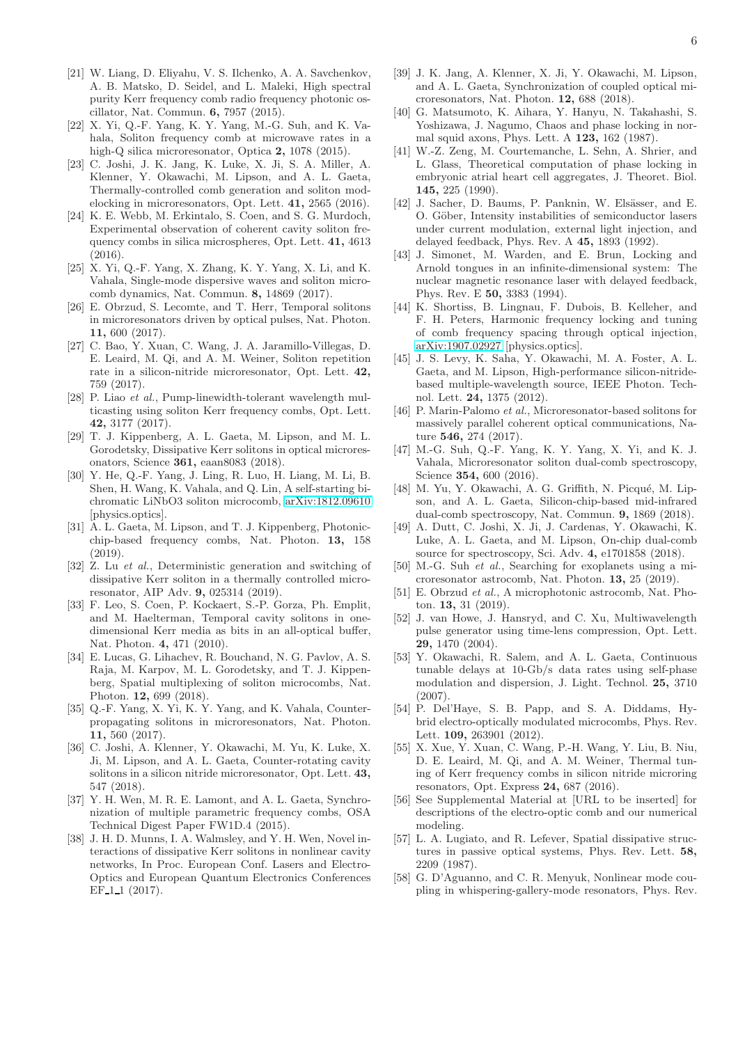- [21] W. Liang, D. Eliyahu, V. S. Ilchenko, A. A. Savchenkov, A. B. Matsko, D. Seidel, and L. Maleki, High spectral purity Kerr frequency comb radio frequency photonic oscillator, Nat. Commun. 6, 7957 (2015).
- [22] X. Yi, Q.-F. Yang, K. Y. Yang, M.-G. Suh, and K. Vahala, Soliton frequency comb at microwave rates in a high-Q silica microresonator, Optica 2, 1078 (2015).
- <span id="page-5-17"></span>[23] C. Joshi, J. K. Jang, K. Luke, X. Ji, S. A. Miller, A. Klenner, Y. Okawachi, M. Lipson, and A. L. Gaeta, Thermally-controlled comb generation and soliton modelocking in microresonators, Opt. Lett. 41, 2565 (2016).
- [24] K. E. Webb, M. Erkintalo, S. Coen, and S. G. Murdoch, Experimental observation of coherent cavity soliton frequency combs in silica microspheres, Opt. Lett. 41, 4613  $(2016)$
- [25] X. Yi, Q.-F. Yang, X. Zhang, K. Y. Yang, X. Li, and K. Vahala, Single-mode dispersive waves and soliton microcomb dynamics, Nat. Commun. 8, 14869 (2017).
- [26] E. Obrzud, S. Lecomte, and T. Herr, Temporal solitons in microresonators driven by optical pulses, Nat. Photon. 11, 600 (2017).
- <span id="page-5-18"></span>[27] C. Bao, Y. Xuan, C. Wang, J. A. Jaramillo-Villegas, D. E. Leaird, M. Qi, and A. M. Weiner, Soliton repetition rate in a silicon-nitride microresonator, Opt. Lett. 42, 759 (2017).
- [28] P. Liao *et al.*, Pump-linewidth-tolerant wavelength multicasting using soliton Kerr frequency combs, Opt. Lett. 42, 3177 (2017).
- [29] T. J. Kippenberg, A. L. Gaeta, M. Lipson, and M. L. Gorodetsky, Dissipative Kerr solitons in optical microresonators, Science 361, eaan8083 (2018).
- [30] Y. He, Q.-F. Yang, J. Ling, R. Luo, H. Liang, M. Li, B. Shen, H. Wang, K. Vahala, and Q. Lin, A self-starting bichromatic LiNbO3 soliton microcomb, [arXiv:1812.09610](http://arxiv.org/abs/1812.09610) [physics.optics].
- [31] A. L. Gaeta, M. Lipson, and T. J. Kippenberg, Photonicchip-based frequency combs, Nat. Photon. 13, 158 (2019).
- <span id="page-5-0"></span>[32] Z. Lu *et al.*, Deterministic generation and switching of dissipative Kerr soliton in a thermally controlled microresonator, AIP Adv. 9, 025314 (2019).
- <span id="page-5-1"></span>[33] F. Leo, S. Coen, P. Kockaert, S.-P. Gorza, Ph. Emplit, and M. Haelterman, Temporal cavity solitons in onedimensional Kerr media as bits in an all-optical buffer, Nat. Photon. 4, 471 (2010).
- <span id="page-5-2"></span>[34] E. Lucas, G. Lihachev, R. Bouchand, N. G. Pavlov, A. S. Raja, M. Karpov, M. L. Gorodetsky, and T. J. Kippenberg, Spatial multiplexing of soliton microcombs, Nat. Photon. 12, 699 (2018).
- <span id="page-5-3"></span>[35] Q.-F. Yang, X. Yi, K. Y. Yang, and K. Vahala, Counterpropagating solitons in microresonators, Nat. Photon. 11, 560 (2017).
- <span id="page-5-4"></span>[36] C. Joshi, A. Klenner, Y. Okawachi, M. Yu, K. Luke, X. Ji, M. Lipson, and A. L. Gaeta, Counter-rotating cavity solitons in a silicon nitride microresonator, Opt. Lett. 43, 547 (2018).
- <span id="page-5-5"></span>[37] Y. H. Wen, M. R. E. Lamont, and A. L. Gaeta, Synchronization of multiple parametric frequency combs, OSA Technical Digest Paper FW1D.4 (2015).
- <span id="page-5-6"></span>[38] J. H. D. Munns, I. A. Walmsley, and Y. H. Wen, Novel interactions of dissipative Kerr solitons in nonlinear cavity networks, In Proc. European Conf. Lasers and Electro-Optics and European Quantum Electronics Conferences EF<sub>-1-1</sub> (2017).
- <span id="page-5-7"></span>[39] J. K. Jang, A. Klenner, X. Ji, Y. Okawachi, M. Lipson, and A. L. Gaeta, Synchronization of coupled optical microresonators, Nat. Photon. 12, 688 (2018).
- <span id="page-5-8"></span>[40] G. Matsumoto, K. Aihara, Y. Hanyu, N. Takahashi, S. Yoshizawa, J. Nagumo, Chaos and phase locking in normal squid axons, Phys. Lett. A 123, 162 (1987).
- [41] W.-Z. Zeng, M. Courtemanche, L. Sehn, A. Shrier, and L. Glass, Theoretical computation of phase locking in embryonic atrial heart cell aggregates, J. Theoret. Biol. 145, 225 (1990).
- [42] J. Sacher, D. Baums, P. Panknin, W. Elsässer, and E. O. Göber, Intensity instabilities of semiconductor lasers under current modulation, external light injection, and delayed feedback, Phys. Rev. A 45, 1893 (1992).
- <span id="page-5-9"></span>[43] J. Simonet, M. Warden, and E. Brun, Locking and Arnold tongues in an infinite-dimensional system: The nuclear magnetic resonance laser with delayed feedback, Phys. Rev. E 50, 3383 (1994).
- <span id="page-5-10"></span>[44] K. Shortiss, B. Lingnau, F. Dubois, B. Kelleher, and F. H. Peters, Harmonic frequency locking and tuning of comb frequency spacing through optical injection, [arXiv:1907.02927](http://arxiv.org/abs/1907.02927) [physics.optics].
- <span id="page-5-11"></span>[45] J. S. Levy, K. Saha, Y. Okawachi, M. A. Foster, A. L. Gaeta, and M. Lipson, High-performance silicon-nitridebased multiple-wavelength source, IEEE Photon. Technol. Lett. 24, 1375 (2012).
- <span id="page-5-12"></span>[46] P. Marin-Palomo *et al.*, Microresonator-based solitons for massively parallel coherent optical communications, Nature 546, 274 (2017).
- <span id="page-5-13"></span>[47] M.-G. Suh, Q.-F. Yang, K. Y. Yang, X. Yi, and K. J. Vahala, Microresonator soliton dual-comb spectroscopy, Science **354**, 600 (2016).
- [48] M. Yu, Y. Okawachi, A. G. Griffith, N. Picqué, M. Lipson, and A. L. Gaeta, Silicon-chip-based mid-infrared dual-comb spectroscopy, Nat. Commun. 9, 1869 (2018).
- <span id="page-5-14"></span>[49] A. Dutt, C. Joshi, X. Ji, J. Cardenas, Y. Okawachi, K. Luke, A. L. Gaeta, and M. Lipson, On-chip dual-comb source for spectroscopy, Sci. Adv. 4, e1701858 (2018).
- <span id="page-5-15"></span>[50] M.-G. Suh *et al.*, Searching for exoplanets using a microresonator astrocomb, Nat. Photon. 13, 25 (2019).
- <span id="page-5-16"></span>[51] E. Obrzud *et al.*, A microphotonic astrocomb, Nat. Photon. 13, 31 (2019).
- <span id="page-5-19"></span>[52] J. van Howe, J. Hansryd, and C. Xu, Multiwavelength pulse generator using time-lens compression, Opt. Lett. 29, 1470 (2004).
- [53] Y. Okawachi, R. Salem, and A. L. Gaeta, Continuous tunable delays at 10-Gb/s data rates using self-phase modulation and dispersion, J. Light. Technol. 25, 3710  $(2007)$
- <span id="page-5-23"></span>[54] P. Del'Haye, S. B. Papp, and S. A. Diddams, Hybrid electro-optically modulated microcombs, Phys. Rev. Lett. 109, 263901 (2012).
- <span id="page-5-20"></span>[55] X. Xue, Y. Xuan, C. Wang, P.-H. Wang, Y. Liu, B. Niu, D. E. Leaird, M. Qi, and A. M. Weiner, Thermal tuning of Kerr frequency combs in silicon nitride microring resonators, Opt. Express 24, 687 (2016).
- <span id="page-5-21"></span>[56] See Supplemental Material at [URL to be inserted] for descriptions of the electro-optic comb and our numerical modeling.
- <span id="page-5-22"></span>[57] L. A. Lugiato, and R. Lefever, Spatial dissipative structures in passive optical systems, Phys. Rev. Lett. 58, 2209 (1987).
- [58] G. D'Aguanno, and C. R. Menyuk, Nonlinear mode coupling in whispering-gallery-mode resonators, Phys. Rev.